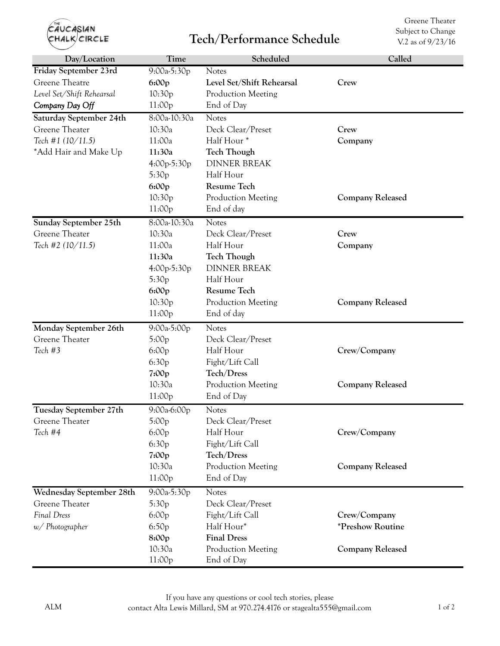| THE<br>CAUCASIAN<br>HALK/CIRCLE                                                         |                                                                                         | <b>Tech/Performance Schedule</b>                                                                                                | Greene Theater<br>Subject to Change<br>V.2 as of 9/23/16                  |
|-----------------------------------------------------------------------------------------|-----------------------------------------------------------------------------------------|---------------------------------------------------------------------------------------------------------------------------------|---------------------------------------------------------------------------|
| Day/Location                                                                            | Time                                                                                    | Scheduled                                                                                                                       | Called                                                                    |
| Friday September 23rd<br>Greene Theatre<br>Level Set/Shift Rehearsal<br>Company Day Off | 9:00a-5:30p<br>6:00p<br>10:30p<br>11:00p                                                | <b>Notes</b><br>Level Set/Shift Rehearsal<br>Production Meeting<br>End of Day                                                   | Crew                                                                      |
| Saturday September 24th<br>Greene Theater<br>Tech #1 (10/11.5)<br>*Add Hair and Make Up | 8:00a-10:30a<br>10:30a<br>11:00a<br>11:30a<br>4:00p-5:30p<br>5:30 <sub>p</sub><br>6:00p | <b>Notes</b><br>Deck Clear/Preset<br>Half Hour*<br><b>Tech Though</b><br><b>DINNER BREAK</b><br>Half Hour<br><b>Resume Tech</b> | Crew<br>Company                                                           |
|                                                                                         | 10:30p<br>11:00p                                                                        | Production Meeting<br>End of day                                                                                                | <b>Company Released</b>                                                   |
| Sunday September 25th<br>Greene Theater<br>Tech #2 (10/11.5)                            | 8:00a-10:30a<br>10:30a<br>11:00a<br>11:30a<br>$4:00p-5:30p$<br>5:30p                    | <b>Notes</b><br>Deck Clear/Preset<br>Half Hour<br><b>Tech Though</b><br><b>DINNER BREAK</b><br>Half Hour<br>Resume Tech         | Crew<br>Company                                                           |
|                                                                                         | 6:00p<br>10:30p<br>11:00p                                                               | Production Meeting<br>End of day                                                                                                | <b>Company Released</b>                                                   |
| Monday September 26th<br>Greene Theater<br>Tech #3                                      | 9:00a-5:00p<br>5:00p<br>6:00p<br>6:30p<br>7:00p                                         | <b>Notes</b><br>Deck Clear/Preset<br>Half Hour<br>Fight/Lift Call<br>Tech/Dress                                                 | Crew/Company                                                              |
|                                                                                         | 10:30a<br>11:00p                                                                        | Production Meeting<br>End of Day                                                                                                | <b>Company Released</b>                                                   |
| Tuesday September 27th<br>Greene Theater<br>Tech #4                                     | $9:00a-6:00p$<br>5:00p<br>6:00p<br>6:30p<br>7:00p<br>10:30a                             | <b>Notes</b><br>Deck Clear/Preset<br>Half Hour<br>Fight/Lift Call<br>Tech/Dress<br>Production Meeting                           | Crew/Company<br><b>Company Released</b>                                   |
| Wednesday September 28th                                                                | 11:00p<br>9:00a-5:30p                                                                   | End of Day<br><b>Notes</b>                                                                                                      |                                                                           |
| Greene Theater<br>Final Dress<br>$w/$ Photographer                                      | 5:30p<br>6:00p<br>6:50p<br>8:00p<br>10:30a<br>11:00p                                    | Deck Clear/Preset<br>Fight/Lift Call<br>Half Hour*<br><b>Final Dress</b><br>Production Meeting<br>End of Day                    | Crew/Company<br><i><b>*Preshow Routine</b></i><br><b>Company Released</b> |

Greene Theater